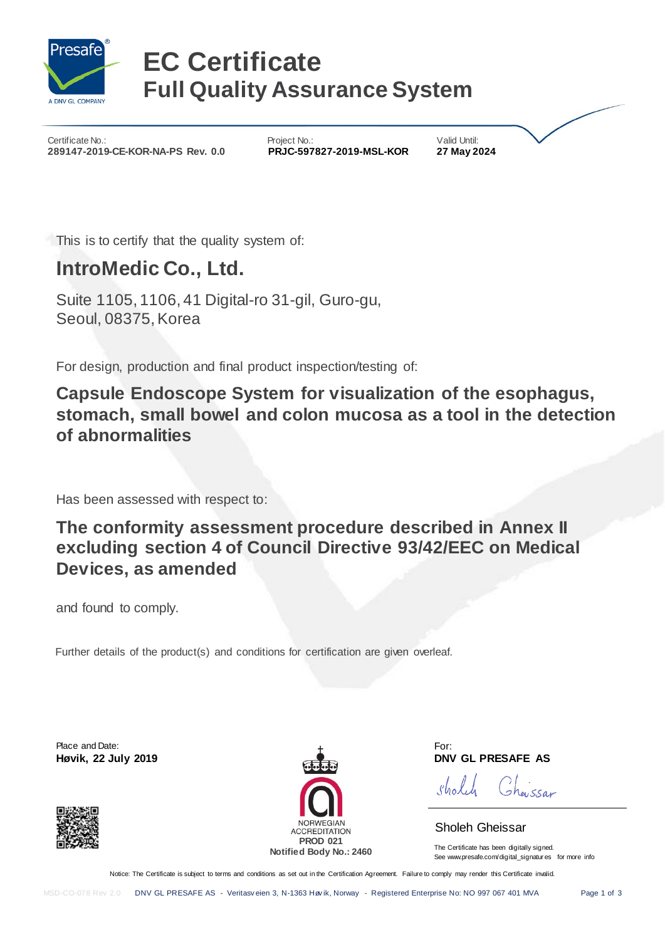

# **EC Certificate Full Quality Assurance System**

Certificate No.: Certificate No.: Project No.: Project No.: Valid Until: Valid Until: 289147-2019-CE-KOR-NA-PS Rev. 0.0 PRJC-597827-2019-MSL-KOR 27 May 2024 289147-2019-CE-KOR-NA-PS Rev. 0.0

This is to certify that the quality system of:

### **IntroMedic Co., Ltd.**

Suite 1105, 1106, 41 Digital-ro 31-gil, Guro-gu, Seoul, 08375, Korea

For design, production and final product inspection/testing of:

**Capsule Endoscope System for visualization of the esophagus, stomach, small bowel and colon mucosa as a tool in the detection of abnormalities**

Has been assessed with respect to:

**The conformity assessment procedure described in Annex II excluding section 4 of Council Directive 93/42/EEC on Medical Devices, as amended**

and found to comply.

Further details of the product(s) and conditions for certification are given overleaf.

Place and Date: **Høvik, 22 July 2019** 





For:<br>**DNV GL PRESAFE AS** 

.<br>Jeu*ssar* Sholch

### Sholeh Gheissar

The Certificate has been digitally signed. See www.presafe.com/digital\_signatur es for more info

Notice: The Certificate is subject to terms and conditions as set out in the Certification Agreement. Failure to comply may render this Certificate invalid.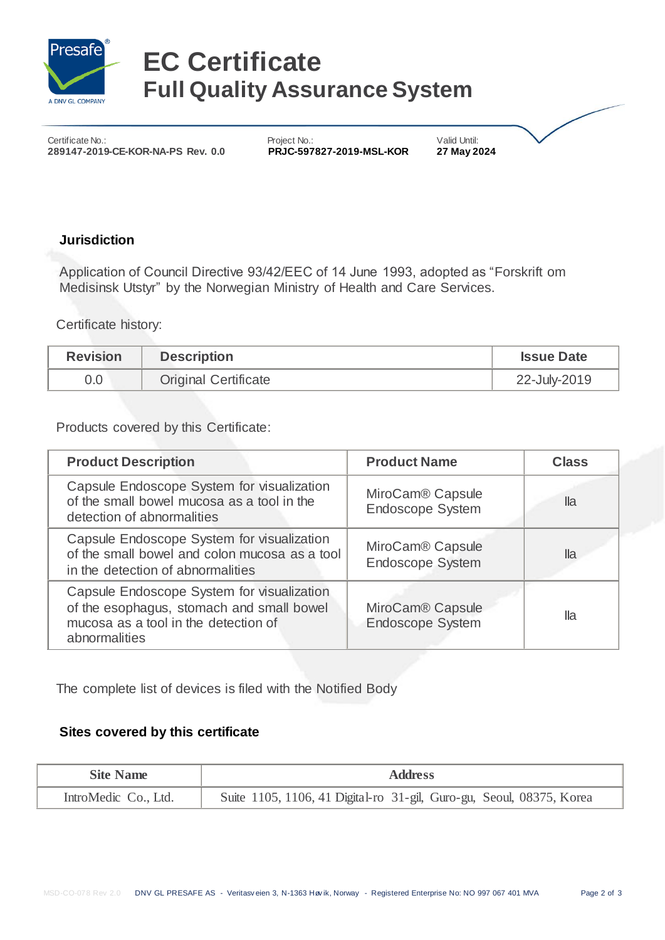

# **EC Certificate Full Quality Assurance System**

Certificate No.: Certificate No.: Project No.: Project No.: Valid Until: 289147-2019-CE-KOR-NA-PS Rev. 0.0 PRJC-597827-2019-MSL-KOR 27 May 2024 289147-2019-CE-KOR-NA-PS Rev. 0.0

### **Jurisdiction**

Application of Council Directive 93/42/EEC of 14 June 1993, adopted as "Forskrift om Medisinsk Utstyr" by the Norwegian Ministry of Health and Care Services.

Certificate history:

| <b>Revision</b> | <b>Description</b>          | <b>Issue Date</b> |
|-----------------|-----------------------------|-------------------|
| 0.0             | <b>Original Certificate</b> | 22-July-2019      |

Products covered by this Certificate:

| <b>Product Description</b>                                                                                                                       | <b>Product Name</b>                                     | <b>Class</b> |
|--------------------------------------------------------------------------------------------------------------------------------------------------|---------------------------------------------------------|--------------|
| Capsule Endoscope System for visualization<br>of the small bowel mucosa as a tool in the<br>detection of abnormalities                           | MiroCam <sup>®</sup> Capsule<br><b>Endoscope System</b> | lla          |
| Capsule Endoscope System for visualization<br>of the small bowel and colon mucosa as a tool<br>in the detection of abnormalities                 | MiroCam <sup>®</sup> Capsule<br><b>Endoscope System</b> | lla          |
| Capsule Endoscope System for visualization<br>of the esophagus, stomach and small bowel<br>mucosa as a tool in the detection of<br>abnormalities | MiroCam <sup>®</sup> Capsule<br><b>Endoscope System</b> | lla          |

The complete list of devices is filed with the Notified Body

### **Sites covered by this certificate**

| <b>Site Name</b>     | <b>Address</b>                                                       |
|----------------------|----------------------------------------------------------------------|
| IntroMedic Co., Ltd. | Suite 1105, 1106, 41 Digital-ro 31-gil, Guro-gu, Seoul, 08375, Korea |